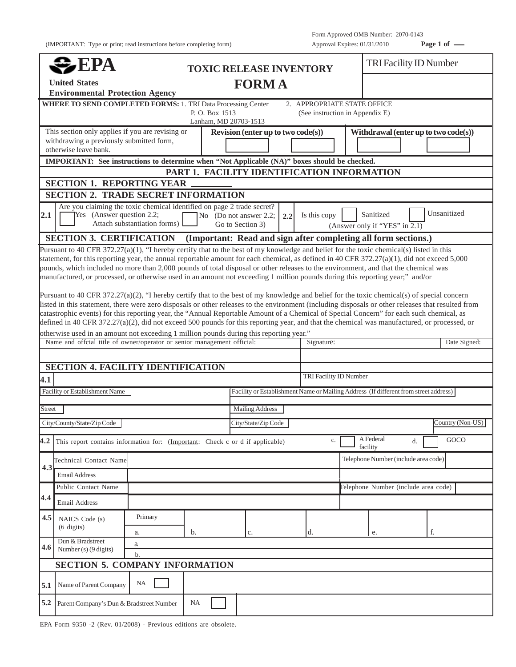(IMPORTANT: Type or print; read instructions before completing form) Approval Expires: 01/31/2010 **Page 1 of** —

|                                                                                | EPA                                                                                                                                                                                                                                                                                                                                                                                                                                                                                                                                                                                          |                              |                                         | <b>TOXIC RELEASE INVENTORY</b>                                                                        |                                                                |                                      | <b>TRI Facility ID Number</b>              |    |                  |
|--------------------------------------------------------------------------------|----------------------------------------------------------------------------------------------------------------------------------------------------------------------------------------------------------------------------------------------------------------------------------------------------------------------------------------------------------------------------------------------------------------------------------------------------------------------------------------------------------------------------------------------------------------------------------------------|------------------------------|-----------------------------------------|-------------------------------------------------------------------------------------------------------|----------------------------------------------------------------|--------------------------------------|--------------------------------------------|----|------------------|
| <b>FORMA</b><br><b>United States</b><br><b>Environmental Protection Agency</b> |                                                                                                                                                                                                                                                                                                                                                                                                                                                                                                                                                                                              |                              |                                         |                                                                                                       |                                                                |                                      |                                            |    |                  |
|                                                                                | <b>WHERE TO SEND COMPLETED FORMS: 1. TRI Data Processing Center</b>                                                                                                                                                                                                                                                                                                                                                                                                                                                                                                                          |                              | P. O. Box 1513<br>Lanham, MD 20703-1513 |                                                                                                       | 2. APPROPRIATE STATE OFFICE<br>(See instruction in Appendix E) |                                      |                                            |    |                  |
|                                                                                | This section only applies if you are revising or<br>withdrawing a previously submitted form,<br>otherwise leave bank.                                                                                                                                                                                                                                                                                                                                                                                                                                                                        |                              |                                         | Revision (enter up to two $code(s)$ )                                                                 |                                                                |                                      | Withdrawal (enter up to two code(s))       |    |                  |
|                                                                                | IMPORTANT: See instructions to determine when "Not Applicable (NA)" boxes should be checked.                                                                                                                                                                                                                                                                                                                                                                                                                                                                                                 |                              |                                         |                                                                                                       |                                                                |                                      |                                            |    |                  |
|                                                                                |                                                                                                                                                                                                                                                                                                                                                                                                                                                                                                                                                                                              |                              |                                         | PART 1. FACILITY IDENTIFICATION INFORMATION                                                           |                                                                |                                      |                                            |    |                  |
|                                                                                | <b>SECTION 1. REPORTING YEAR</b>                                                                                                                                                                                                                                                                                                                                                                                                                                                                                                                                                             |                              |                                         |                                                                                                       |                                                                |                                      |                                            |    |                  |
|                                                                                | <b>SECTION 2. TRADE SECRET INFORMATION</b>                                                                                                                                                                                                                                                                                                                                                                                                                                                                                                                                                   |                              |                                         |                                                                                                       |                                                                |                                      |                                            |    |                  |
| 2.1                                                                            | Are you claiming the toxic chemical identified on page 2 trade secret?<br>Yes (Answer question 2.2;                                                                                                                                                                                                                                                                                                                                                                                                                                                                                          | Attach substantiation forms) |                                         | No (Do not answer 2.2;<br>2.2<br>Go to Section 3)                                                     | Is this copy                                                   |                                      | Sanitized<br>(Answer only if "YES" in 2.1) |    | Unsanitized      |
|                                                                                | <b>SECTION 3. CERTIFICATION</b>                                                                                                                                                                                                                                                                                                                                                                                                                                                                                                                                                              |                              |                                         | (Important: Read and sign after completing all form sections.)                                        |                                                                |                                      |                                            |    |                  |
|                                                                                | Pursuant to 40 CFR 372.27(a)(2), "I hereby certify that to the best of my knowledge and belief for the toxic chemical(s) of special concern<br>listed in this statement, there were zero disposals or other releases to the environment (including disposals or other releases that resulted from<br>catastrophic events) for this reporting year, the "Annual Reportable Amount of a Chemical of Special Concern" for each such chemical, as<br>defined in 40 CFR 372.27(a)(2), did not exceed 500 pounds for this reporting year, and that the chemical was manufactured, or processed, or |                              |                                         |                                                                                                       |                                                                |                                      |                                            |    |                  |
|                                                                                | Name and offcial title of owner/operator or senior management official:                                                                                                                                                                                                                                                                                                                                                                                                                                                                                                                      |                              |                                         | otherwise used in an amount not exceeding 1 million pounds during this reporting year."<br>Signature: |                                                                |                                      |                                            |    | Date Signed:     |
|                                                                                |                                                                                                                                                                                                                                                                                                                                                                                                                                                                                                                                                                                              |                              |                                         |                                                                                                       |                                                                |                                      |                                            |    |                  |
| <b>SECTION 4. FACILITY IDENTIFICATION</b>                                      |                                                                                                                                                                                                                                                                                                                                                                                                                                                                                                                                                                                              |                              |                                         |                                                                                                       |                                                                |                                      |                                            |    |                  |
| 4.1                                                                            |                                                                                                                                                                                                                                                                                                                                                                                                                                                                                                                                                                                              |                              |                                         |                                                                                                       | TRI Facility ID Number                                         |                                      |                                            |    |                  |
|                                                                                | Facility or Establishment Name                                                                                                                                                                                                                                                                                                                                                                                                                                                                                                                                                               |                              |                                         | Facility or Establishment Name or Mailing Address (If different from street address)                  |                                                                |                                      |                                            |    |                  |
| Street                                                                         |                                                                                                                                                                                                                                                                                                                                                                                                                                                                                                                                                                                              |                              |                                         | <b>Mailing Address</b>                                                                                |                                                                |                                      |                                            |    |                  |
|                                                                                |                                                                                                                                                                                                                                                                                                                                                                                                                                                                                                                                                                                              |                              |                                         |                                                                                                       |                                                                |                                      |                                            |    |                  |
|                                                                                | City/County/State/Zip Code                                                                                                                                                                                                                                                                                                                                                                                                                                                                                                                                                                   |                              |                                         | City/State/Zip Code                                                                                   |                                                                |                                      |                                            |    | Country (Non-US) |
|                                                                                | 4.2 This report contains information for: $($ Important: Check c or d if applicable)                                                                                                                                                                                                                                                                                                                                                                                                                                                                                                         |                              |                                         |                                                                                                       | $\mathbf{c}.$                                                  |                                      | A Federal<br>facility                      | d. | GOCO             |
|                                                                                | Technical Contact Name                                                                                                                                                                                                                                                                                                                                                                                                                                                                                                                                                                       |                              |                                         |                                                                                                       |                                                                | Telephone Number (include area code) |                                            |    |                  |
| 4.3                                                                            | <b>Email Address</b>                                                                                                                                                                                                                                                                                                                                                                                                                                                                                                                                                                         |                              |                                         |                                                                                                       |                                                                |                                      |                                            |    |                  |
|                                                                                | Public Contact Name                                                                                                                                                                                                                                                                                                                                                                                                                                                                                                                                                                          |                              |                                         |                                                                                                       | Telephone Number (include area code)                           |                                      |                                            |    |                  |
| 4.4                                                                            | Email Address                                                                                                                                                                                                                                                                                                                                                                                                                                                                                                                                                                                |                              |                                         |                                                                                                       |                                                                |                                      |                                            |    |                  |
| 4.5                                                                            | NAICS Code (s)<br>$(6 \text{ digits})$                                                                                                                                                                                                                                                                                                                                                                                                                                                                                                                                                       | Primary<br>a.                | b.                                      | c.                                                                                                    | d.                                                             |                                      | e.                                         | f. |                  |
|                                                                                | Dun & Bradstreet                                                                                                                                                                                                                                                                                                                                                                                                                                                                                                                                                                             | a                            |                                         |                                                                                                       |                                                                |                                      |                                            |    |                  |
| 4.6                                                                            | Number (s) $(9 \text{ digits})$                                                                                                                                                                                                                                                                                                                                                                                                                                                                                                                                                              | b.                           |                                         |                                                                                                       |                                                                |                                      |                                            |    |                  |
|                                                                                | <b>SECTION 5. COMPANY INFORMATION</b>                                                                                                                                                                                                                                                                                                                                                                                                                                                                                                                                                        |                              |                                         |                                                                                                       |                                                                |                                      |                                            |    |                  |
| 5.1                                                                            | Name of Parent Company                                                                                                                                                                                                                                                                                                                                                                                                                                                                                                                                                                       | NA                           |                                         |                                                                                                       |                                                                |                                      |                                            |    |                  |
| 5.2                                                                            | Parent Company's Dun & Bradstreet Number                                                                                                                                                                                                                                                                                                                                                                                                                                                                                                                                                     |                              | <b>NA</b>                               |                                                                                                       |                                                                |                                      |                                            |    |                  |

EPA Form 9350 -2 (Rev. 01/2008) - Previous editions are obsolete.